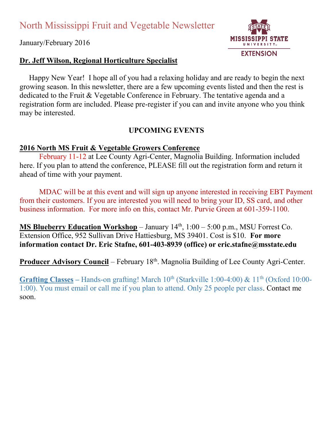January/February 2016

# **Dr. Jeff Wilson, Regional Horticulture Specialist**

**MISSIS PPI STATE EXTENSION** 

 Happy New Year! I hope all of you had a relaxing holiday and are ready to begin the next growing season. In this newsletter, there are a few upcoming events listed and then the rest is dedicated to the Fruit & Vegetable Conference in February. The tentative agenda and a registration form are included. Please pre-register if you can and invite anyone who you think may be interested.

# **UPCOMING EVENTS**

# **2016 North MS Fruit & Vegetable Growers Conference**

February 11-12 at Lee County Agri-Center, Magnolia Building. Information included here. If you plan to attend the conference, PLEASE fill out the registration form and return it ahead of time with your payment.

MDAC will be at this event and will sign up anyone interested in receiving EBT Payment from their customers. If you are interested you will need to bring your ID, SS card, and other business information. For more info on this, contact Mr. Purvie Green at 601-359-1100.

**MS Blueberry Education Workshop** – January  $14<sup>th</sup>$ ,  $1:00 - 5:00$  p.m., MSU Forrest Co. Extension Office, 952 Sullivan Drive Hattiesburg, MS 39401. Cost is \$10. **For more information contact Dr. Eric Stafne, 601-403-8939 (office) or eric.stafne@msstate.edu**

**Producer Advisory Council** – February 18<sup>th</sup>. Magnolia Building of Lee County Agri-Center.

**Grafting Classes** – Hands-on grafting! March  $10^{th}$  (Starkville 1:00-4:00) &  $11^{th}$  (Oxford 10:00-1:00). You must email or call me if you plan to attend. Only 25 people per class. Contact me soon.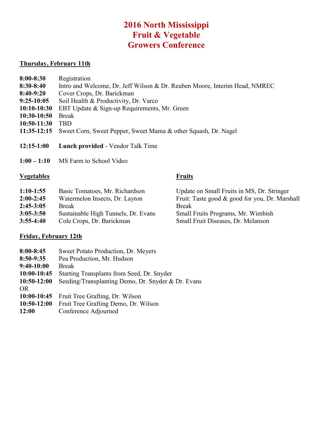# **2016 North Mississippi Fruit & Vegetable Growers Conference**

#### **Thursday, February 11th**

- **8:30-8:40** Intro and Welcome, Dr. Jeff Wilson & Dr. Reuben Moore, Interim Head, NMREC
- **8:40-9:20** Cover Crops, Dr. Barickman
- **9:25-10:05** Soil Health & Productivity, Dr. Varco
- **10:10-10:30** EBT Update & Sign-up Requirements, Mr. Green
- **10:30-10:50** Break<br>**10:50-11:30** TBD
- **10:50-11:30**
- **11:35-12:15** Sweet Corn, Sweet Pepper, Sweet Mama & other Squash, Dr. Nagel
- **12:15-1:00 Lunch provided** Vendor Talk Time
- **1:00 1:10** MS Farm to School Video

### **Vegetables Fruits**

- **1:10-1:55** Basic Tomatoes, Mr. Richardson Update on Small Fruits in MS, Dr. Stringer
- 
- **2:45-3:05** Break Break
- **3:05-3:50** Sustainable High Tunnels, Dr. Evans Small Fruits Programs, Mr. Wimbish
- **3:55-4:40** Cole Crops, Dr. Barickman Small Fruit Diseases, Dr. Melanson

### **Friday, February 12th**

- **8:00-8:45** Sweet Potato Production, Dr. Meyers
- **8:50-9:35** Pea Production, Mr. Hudson
- **9:40-10:00** Break
- **10:00-10:45** Starting Transplants from Seed, Dr. Snyder
- **10:50-12:00** Seeding/Transplanting Demo, Dr. Snyder & Dr. Evans
- OR
- **10:00-10:45** Fruit Tree Grafting, Dr. Wilson
- **10:50-12:00** Fruit Tree Grafting Demo, Dr. Wilson
- **12:00** Conference Adjourned

2:00-2:45 Watermelon Insects, Dr. Layton Fruit: Taste good & good for you, Dr. Marshall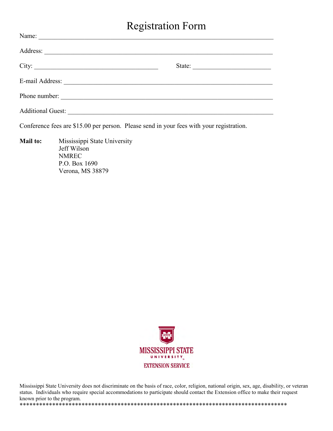# Registration Form

| Name:                                                                                                                                                                                                                                |        |  |
|--------------------------------------------------------------------------------------------------------------------------------------------------------------------------------------------------------------------------------------|--------|--|
|                                                                                                                                                                                                                                      |        |  |
|                                                                                                                                                                                                                                      | State: |  |
| E-mail Address: <u>and a series of the series of the series of the series of the series of the series of the series of the series of the series of the series of the series of the series of the series of the series of the ser</u> |        |  |
| Phone number:                                                                                                                                                                                                                        |        |  |
|                                                                                                                                                                                                                                      |        |  |

Conference fees are \$15.00 per person. Please send in your fees with your registration.

**Mail to:** Mississippi State University Jeff Wilson NMREC P.O. Box 1690 Verona, MS 38879



Mississippi State University does not discriminate on the basis of race, color, religion, national origin, sex, age, disability, or veteran status. Individuals who require special accommodations to participate should contact the Extension office to make their request known prior to the program.

\*\*\*\*\*\*\*\*\*\*\*\*\*\*\*\*\*\*\*\*\*\*\*\*\*\*\*\*\*\*\*\*\*\*\*\*\*\*\*\*\*\*\*\*\*\*\*\*\*\*\*\*\*\*\*\*\*\*\*\*\*\*\*\*\*\*\*\*\*\*\*\*\*\*\*\*\*\*\*\*\*\*